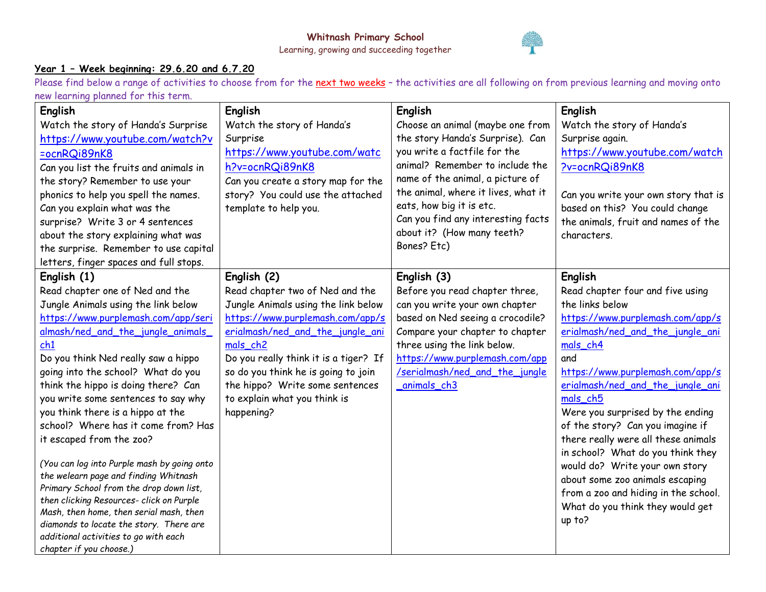

## **Year 1 – Week beginning: 29.6.20 and 6.7.20**

Please find below a range of activities to choose from for the next two weeks - the activities are all following on from previous learning and moving onto new learning planned for this term.

| <b>English</b>                                                                   | English                               | <b>English</b>                      | English                              |
|----------------------------------------------------------------------------------|---------------------------------------|-------------------------------------|--------------------------------------|
| Watch the story of Handa's Surprise                                              | Watch the story of Handa's            | Choose an animal (maybe one from    | Watch the story of Handa's           |
| https://www.youtube.com/watch?v                                                  | Surprise                              | the story Handa's Surprise). Can    | Surprise again.                      |
| =ocnRQi89nK8                                                                     | https://www.youtube.com/watc          | you write a factfile for the        | https://www.youtube.com/watch        |
| Can you list the fruits and animals in                                           | h?v=ocnRQi89nK8                       | animal? Remember to include the     | Pv=ocnRQi89nK8                       |
| the story? Remember to use your                                                  | Can you create a story map for the    | name of the animal, a picture of    |                                      |
| phonics to help you spell the names.                                             | story? You could use the attached     | the animal, where it lives, what it | Can you write your own story that is |
| Can you explain what was the                                                     | template to help you.                 | eats, how big it is etc.            | based on this? You could change      |
| surprise? Write 3 or 4 sentences                                                 |                                       | Can you find any interesting facts  | the animals, fruit and names of the  |
| about the story explaining what was                                              |                                       | about it? (How many teeth?          | characters.                          |
| the surprise. Remember to use capital                                            |                                       | Bones? Etc)                         |                                      |
| letters, finger spaces and full stops.                                           |                                       |                                     |                                      |
| English (1)                                                                      | English (2)                           | English (3)                         | <b>English</b>                       |
| Read chapter one of Ned and the                                                  | Read chapter two of Ned and the       | Before you read chapter three,      | Read chapter four and five using     |
| Jungle Animals using the link below                                              | Jungle Animals using the link below   | can you write your own chapter      | the links below                      |
| https://www.purplemash.com/app/seri                                              | https://www.purplemash.com/app/s      | based on Ned seeing a crocodile?    | https://www.purplemash.com/app/s     |
| almash/ned_and_the_jungle_animals                                                | erialmash/ned_and_the_jungle_ani      | Compare your chapter to chapter     | erialmash/ned_and_the_jungle_ani     |
| ch1                                                                              | mals_ch2                              | three using the link below.         | mals_ch4                             |
| Do you think Ned really saw a hippo                                              | Do you really think it is a tiger? If | https://www.purplemash.com/app      | and                                  |
| going into the school? What do you                                               | so do you think he is going to join   | /serialmash/ned_and_the_jungle      | https://www.purplemash.com/app/s     |
| think the hippo is doing there? Can                                              | the hippo? Write some sentences       | _animals_ch3                        | erialmash/ned_and_the_jungle_ani     |
| you write some sentences to say why                                              | to explain what you think is          |                                     | mals_ch5                             |
| you think there is a hippo at the                                                | happening?                            |                                     | Were you surprised by the ending     |
| school? Where has it come from? Has                                              |                                       |                                     | of the story? Can you imagine if     |
| it escaped from the zoo?                                                         |                                       |                                     | there really were all these animals  |
|                                                                                  |                                       |                                     | in school? What do you think they    |
| (You can log into Purple mash by going onto                                      |                                       |                                     | would do? Write your own story       |
| the welearn page and finding Whitnash<br>Primary School from the drop down list, |                                       |                                     | about some zoo animals escaping      |
| then clicking Resources- click on Purple                                         |                                       |                                     | from a zoo and hiding in the school. |
| Mash, then home, then serial mash, then                                          |                                       |                                     | What do you think they would get     |
| diamonds to locate the story. There are                                          |                                       |                                     | up to?                               |
| additional activities to go with each                                            |                                       |                                     |                                      |
| chapter if you choose.)                                                          |                                       |                                     |                                      |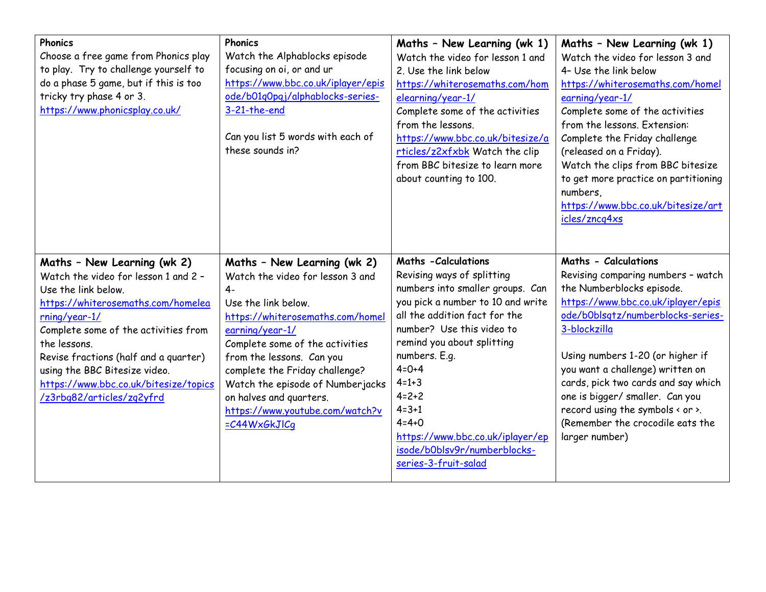| <b>Phonics</b><br>Choose a free game from Phonics play<br>to play. Try to challenge yourself to<br>do a phase 5 game, but if this is too<br>tricky try phase 4 or 3.<br>https://www.phonicsplay.co.uk/                                                                                                                                                    | <b>Phonics</b><br>Watch the Alphablocks episode<br>focusing on oi, or and ur<br>https://www.bbc.co.uk/iplayer/epis<br>ode/b01q0pqj/alphablocks-series-<br>$3-21$ -the-end<br>Can you list 5 words with each of<br>these sounds in?                                                                                                                                      | Maths - New Learning (wk 1)<br>Watch the video for lesson 1 and<br>2. Use the link below<br>https://whiterosemaths.com/hom<br>elearning/year-1/<br>Complete some of the activities<br>from the lessons.<br>https://www.bbc.co.uk/bitesize/a<br>rticles/z2xfxbk Watch the clip<br>from BBC bitesize to learn more<br>about counting to 100.                                                                         | Maths - New Learning (wk 1)<br>Watch the video for lesson 3 and<br>4- Use the link below<br>https://whiterosemaths.com/homel<br>earning/year-1/<br>Complete some of the activities<br>from the lessons. Extension:<br>Complete the Friday challenge<br>(released on a Friday).<br>Watch the clips from BBC bitesize<br>to get more practice on partitioning<br>numbers,<br>https://www.bbc.co.uk/bitesize/art<br>icles/zncq4xs |
|-----------------------------------------------------------------------------------------------------------------------------------------------------------------------------------------------------------------------------------------------------------------------------------------------------------------------------------------------------------|-------------------------------------------------------------------------------------------------------------------------------------------------------------------------------------------------------------------------------------------------------------------------------------------------------------------------------------------------------------------------|--------------------------------------------------------------------------------------------------------------------------------------------------------------------------------------------------------------------------------------------------------------------------------------------------------------------------------------------------------------------------------------------------------------------|--------------------------------------------------------------------------------------------------------------------------------------------------------------------------------------------------------------------------------------------------------------------------------------------------------------------------------------------------------------------------------------------------------------------------------|
| Maths - New Learning (wk 2)<br>Watch the video for lesson 1 and 2 -<br>Use the link below.<br>https://whiterosemaths.com/homelea<br>rning/year-1/<br>Complete some of the activities from<br>the lessons.<br>Revise fractions (half and a quarter)<br>using the BBC Bitesize video.<br>https://www.bbc.co.uk/bitesize/topics<br>/z3rbg82/articles/zg2yfrd | Maths - New Learning (wk 2)<br>Watch the video for lesson 3 and<br>4-<br>Use the link below.<br>https://whiterosemaths.com/homel<br>earning/year-1/<br>Complete some of the activities<br>from the lessons. Can you<br>complete the Friday challenge?<br>Watch the episode of Numberjacks<br>on halves and quarters.<br>https://www.youtube.com/watch?v<br>=C44WxGkJlCq | <b>Maths - Calculations</b><br>Revising ways of splitting<br>numbers into smaller groups. Can<br>you pick a number to 10 and write<br>all the addition fact for the<br>number? Use this video to<br>remind you about splitting<br>numbers. E.g.<br>$4=0+4$<br>$4 = 1 + 3$<br>$4 = 2 + 2$<br>$4 = 3 + 1$<br>$4 = 4 + 0$<br>https://www.bbc.co.uk/iplayer/ep<br>isode/b0blsv9r/numberblocks-<br>series-3-fruit-salad | Maths - Calculations<br>Revising comparing numbers - watch<br>the Numberblocks episode.<br>https://www.bbc.co.uk/iplayer/epis<br>ode/b0blsqtz/numberblocks-series-<br>3-blockzilla<br>Using numbers 1-20 (or higher if<br>you want a challenge) written on<br>cards, pick two cards and say which<br>one is bigger/ smaller. Can you<br>record using the symbols < or >.<br>(Remember the crocodile eats the<br>larger number) |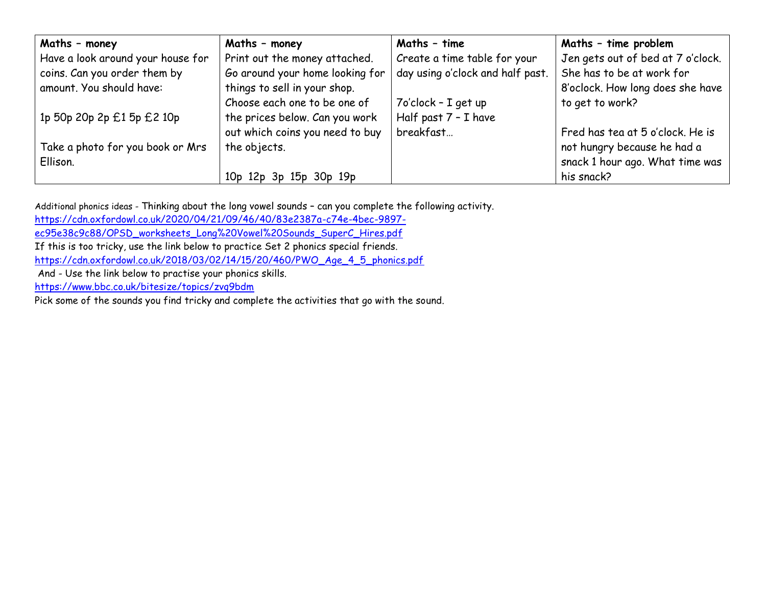| Maths - money                     | Maths - money                   | Maths - time                     | Maths - time problem              |
|-----------------------------------|---------------------------------|----------------------------------|-----------------------------------|
| Have a look around your house for | Print out the money attached.   | Create a time table for your     | Jen gets out of bed at 7 o'clock. |
| coins. Can you order them by      | Go around your home looking for | day using o'clock and half past. | She has to be at work for         |
| amount. You should have:          | things to sell in your shop.    |                                  | 8'oclock. How long does she have  |
|                                   | Choose each one to be one of    | 7o'clock - I get up              | to get to work?                   |
| 1p 50p 20p 2p £1 5p £2 10p        | the prices below. Can you work  | Half past 7 - I have             |                                   |
|                                   | out which coins you need to buy | breakfast                        | Fred has tea at 5 o'clock. He is  |
| Take a photo for you book or Mrs  | the objects.                    |                                  | not hungry because he had a       |
| Ellison.                          |                                 |                                  | snack 1 hour ago. What time was   |
|                                   | 10p 12p 3p 15p 30p 19p          |                                  | his snack?                        |

Additional phonics ideas - Thinking about the long vowel sounds – can you complete the following activity.

[https://cdn.oxfordowl.co.uk/2020/04/21/09/46/40/83e2387a-c74e-4bec-9897-](https://cdn.oxfordowl.co.uk/2020/04/21/09/46/40/83e2387a-c74e-4bec-9897-ec95e38c9c88/OPSD_worksheets_Long%20Vowel%20Sounds_SuperC_Hires.pdf)

[ec95e38c9c88/OPSD\\_worksheets\\_Long%20Vowel%20Sounds\\_SuperC\\_Hires.pdf](https://cdn.oxfordowl.co.uk/2020/04/21/09/46/40/83e2387a-c74e-4bec-9897-ec95e38c9c88/OPSD_worksheets_Long%20Vowel%20Sounds_SuperC_Hires.pdf)

If this is too tricky, use the link below to practice Set 2 phonics special friends.

[https://cdn.oxfordowl.co.uk/2018/03/02/14/15/20/460/PWO\\_Age\\_4\\_5\\_phonics.pdf](https://cdn.oxfordowl.co.uk/2018/03/02/14/15/20/460/PWO_Age_4_5_phonics.pdf)

And - Use the link below to practise your phonics skills.

<https://www.bbc.co.uk/bitesize/topics/zvq9bdm>

Pick some of the sounds you find tricky and complete the activities that go with the sound.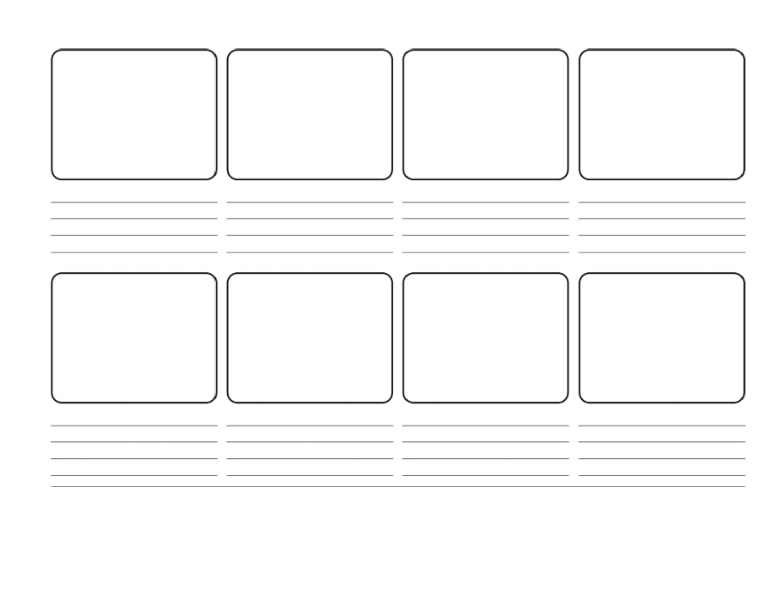